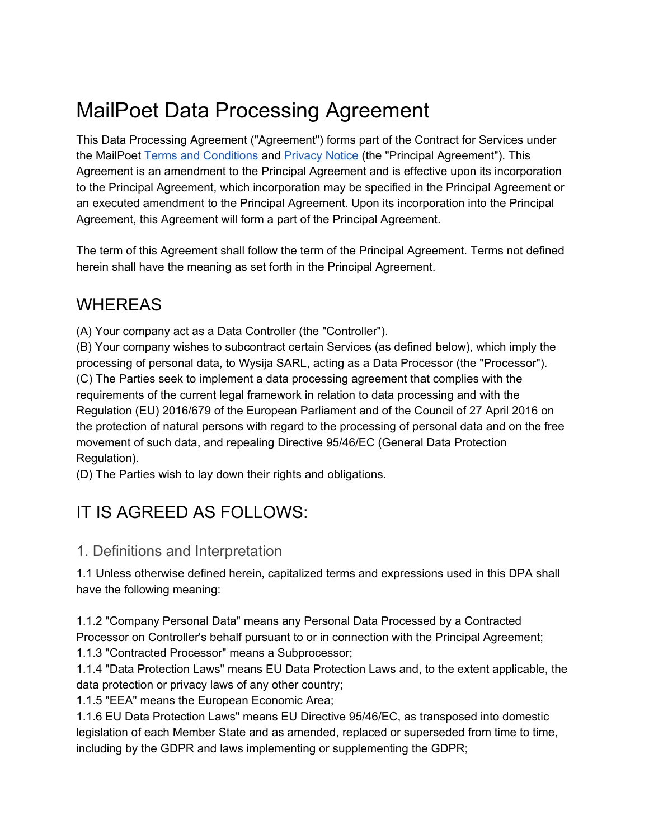# MailPoet Data Processing Agreement

This Data Processing Agreement ("Agreement") forms part of the Contract for Services under the MailPoet Terms and [Conditions](https://www.mailpoet.com/terms-and-conditions/) and [Privacy](https://www.mailpoet.com/privacy-notice/) Notice (the "Principal Agreement"). This Agreement is an amendment to the Principal Agreement and is effective upon its incorporation to the Principal Agreement, which incorporation may be specified in the Principal Agreement or an executed amendment to the Principal Agreement. Upon its incorporation into the Principal Agreement, this Agreement will form a part of the Principal Agreement.

The term of this Agreement shall follow the term of the Principal Agreement. Terms not defined herein shall have the meaning as set forth in the Principal Agreement.

# WHEREAS

(A) Your company act as a Data Controller (the "Controller").

(B) Your company wishes to subcontract certain Services (as defined below), which imply the processing of personal data, to Wysija SARL, acting as a Data Processor (the "Processor"). (C) The Parties seek to implement a data processing agreement that complies with the requirements of the current legal framework in relation to data processing and with the Regulation (EU) 2016/679 of the European Parliament and of the Council of 27 April 2016 on the protection of natural persons with regard to the processing of personal data and on the free movement of such data, and repealing Directive 95/46/EC (General Data Protection Regulation).

(D) The Parties wish to lay down their rights and obligations.

# IT IS AGREED AS FOLLOWS:

#### 1. Definitions and Interpretation

1.1 Unless otherwise defined herein, capitalized terms and expressions used in this DPA shall have the following meaning:

1.1.2 "Company Personal Data" means any Personal Data Processed by a Contracted Processor on Controller's behalf pursuant to or in connection with the Principal Agreement;

1.1.3 "Contracted Processor" means a Subprocessor;

1.1.4 "Data Protection Laws" means EU Data Protection Laws and, to the extent applicable, the data protection or privacy laws of any other country;

1.1.5 "EEA" means the European Economic Area;

1.1.6 EU Data Protection Laws" means EU Directive 95/46/EC, as transposed into domestic legislation of each Member State and as amended, replaced or superseded from time to time, including by the GDPR and laws implementing or supplementing the GDPR;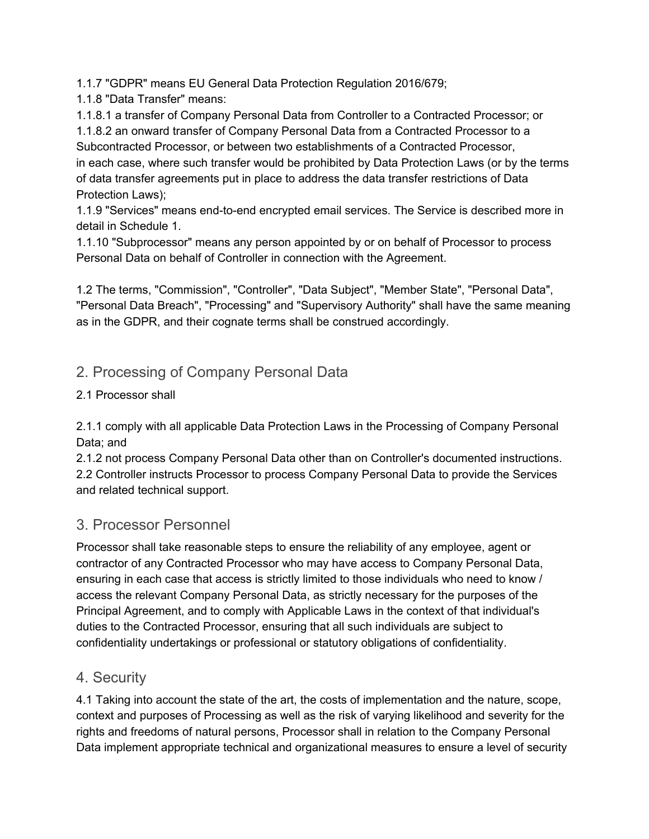1.1.7 "GDPR" means EU General Data Protection Regulation 2016/679;

1.1.8 "Data Transfer" means:

1.1.8.1 a transfer of Company Personal Data from Controller to a Contracted Processor; or 1.1.8.2 an onward transfer of Company Personal Data from a Contracted Processor to a Subcontracted Processor, or between two establishments of a Contracted Processor, in each case, where such transfer would be prohibited by Data Protection Laws (or by the terms of data transfer agreements put in place to address the data transfer restrictions of Data Protection Laws);

1.1.9 "Services" means end-to-end encrypted email services. The Service is described more in detail in Schedule 1.

1.1.10 "Subprocessor" means any person appointed by or on behalf of Processor to process Personal Data on behalf of Controller in connection with the Agreement.

1.2 The terms, "Commission", "Controller", "Data Subject", "Member State", "Personal Data", "Personal Data Breach", "Processing" and "Supervisory Authority" shall have the same meaning as in the GDPR, and their cognate terms shall be construed accordingly.

## 2. Processing of Company Personal Data

#### 2.1 Processor shall

2.1.1 comply with all applicable Data Protection Laws in the Processing of Company Personal Data; and

2.1.2 not process Company Personal Data other than on Controller's documented instructions. 2.2 Controller instructs Processor to process Company Personal Data to provide the Services and related technical support.

#### 3. Processor Personnel

Processor shall take reasonable steps to ensure the reliability of any employee, agent or contractor of any Contracted Processor who may have access to Company Personal Data, ensuring in each case that access is strictly limited to those individuals who need to know / access the relevant Company Personal Data, as strictly necessary for the purposes of the Principal Agreement, and to comply with Applicable Laws in the context of that individual's duties to the Contracted Processor, ensuring that all such individuals are subject to confidentiality undertakings or professional or statutory obligations of confidentiality.

#### 4. Security

4.1 Taking into account the state of the art, the costs of implementation and the nature, scope, context and purposes of Processing as well as the risk of varying likelihood and severity for the rights and freedoms of natural persons, Processor shall in relation to the Company Personal Data implement appropriate technical and organizational measures to ensure a level of security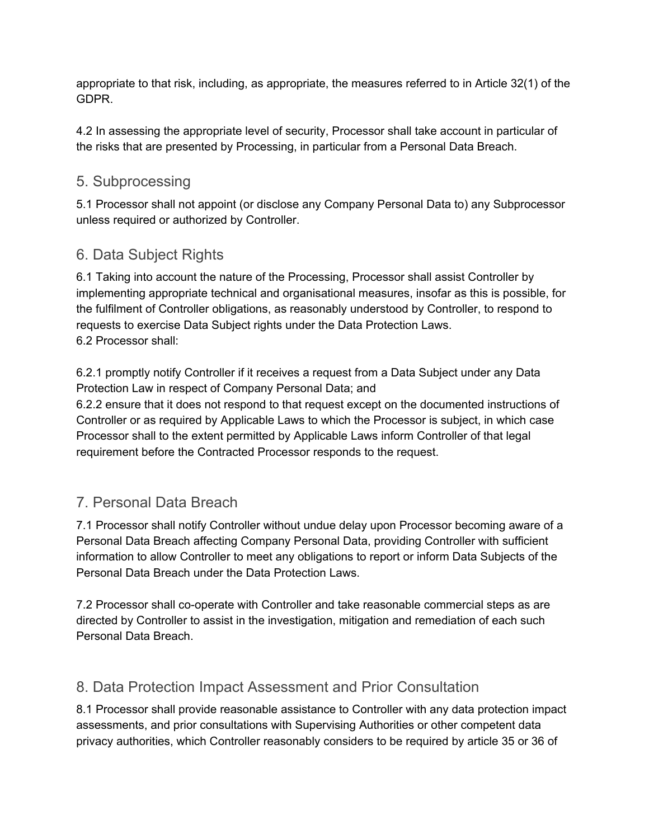appropriate to that risk, including, as appropriate, the measures referred to in Article 32(1) of the GDPR.

4.2 In assessing the appropriate level of security, Processor shall take account in particular of the risks that are presented by Processing, in particular from a Personal Data Breach.

#### 5. Subprocessing

5.1 Processor shall not appoint (or disclose any Company Personal Data to) any Subprocessor unless required or authorized by Controller.

#### 6. Data Subject Rights

6.1 Taking into account the nature of the Processing, Processor shall assist Controller by implementing appropriate technical and organisational measures, insofar as this is possible, for the fulfilment of Controller obligations, as reasonably understood by Controller, to respond to requests to exercise Data Subject rights under the Data Protection Laws. 6.2 Processor shall:

6.2.1 promptly notify Controller if it receives a request from a Data Subject under any Data Protection Law in respect of Company Personal Data; and

6.2.2 ensure that it does not respond to that request except on the documented instructions of Controller or as required by Applicable Laws to which the Processor is subject, in which case Processor shall to the extent permitted by Applicable Laws inform Controller of that legal requirement before the Contracted Processor responds to the request.

#### 7. Personal Data Breach

7.1 Processor shall notify Controller without undue delay upon Processor becoming aware of a Personal Data Breach affecting Company Personal Data, providing Controller with sufficient information to allow Controller to meet any obligations to report or inform Data Subjects of the Personal Data Breach under the Data Protection Laws.

7.2 Processor shall co-operate with Controller and take reasonable commercial steps as are directed by Controller to assist in the investigation, mitigation and remediation of each such Personal Data Breach.

#### 8. Data Protection Impact Assessment and Prior Consultation

8.1 Processor shall provide reasonable assistance to Controller with any data protection impact assessments, and prior consultations with Supervising Authorities or other competent data privacy authorities, which Controller reasonably considers to be required by article 35 or 36 of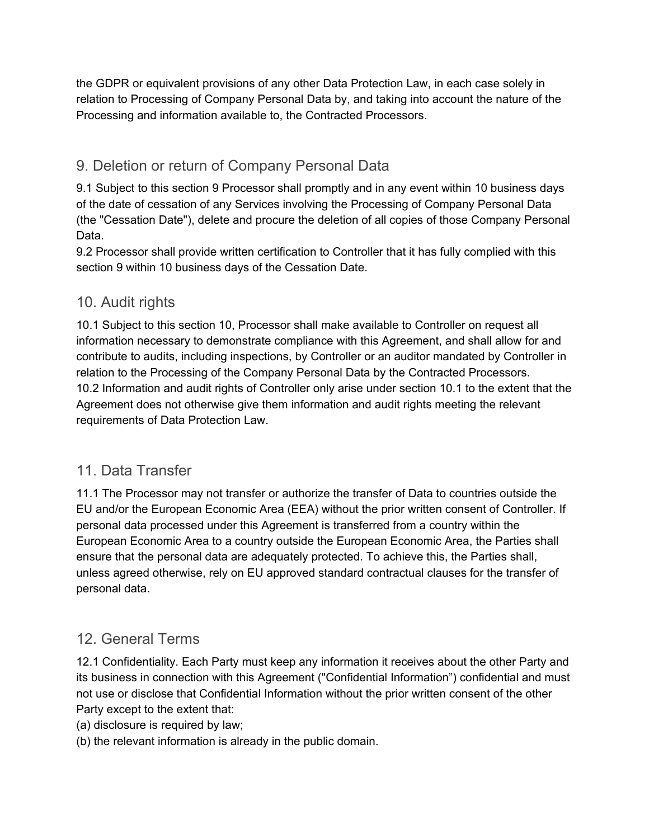the GDPR or equivalent provisions of any other Data Protection Law, in each case solely in relation to Processing of Company Personal Data by, and taking into account the nature of the Processing and information available to, the Contracted Processors.

#### 9. Deletion or return of Company Personal Data

9.1 Subject to this section 9 Processor shall promptly and in any event within 10 business days of the date of cessation of any Services involving the Processing of Company Personal Data (the "Cessation Date"), delete and procure the deletion of all copies of those Company Personal Data.

9.2 Processor shall provide written certification to Controller that it has fully complied with this section 9 within 10 business days of the Cessation Date.

#### 10. Audit rights

10.1 Subject to this section 10, Processor shall make available to Controller on request all information necessary to demonstrate compliance with this Agreement, and shall allow for and contribute to audits, including inspections, by Controller or an auditor mandated by Controller in relation to the Processing of the Company Personal Data by the Contracted Processors. 10.2 Information and audit rights of Controller only arise under section 10.1 to the extent that the Agreement does not otherwise give them information and audit rights meeting the relevant requirements of Data Protection Law.

#### 11. Data Transfer

11.1 The Processor may not transfer or authorize the transfer of Data to countries outside the EU and/or the European Economic Area (EEA) without the prior written consent of Controller. If personal data processed under this Agreement is transferred from a country within the European Economic Area to a country outside the European Economic Area, the Parties shall ensure that the personal data are adequately protected. To achieve this, the Parties shall, unless agreed otherwise, rely on EU approved standard contractual clauses for the transfer of personal data.

#### 12. General Terms

12.1 Confidentiality. Each Party must keep any information it receives about the other Party and its business in connection with this Agreement ("Confidential Information") confidential and must not use or disclose that Confidential Information without the prior written consent of the other Party except to the extent that:

- (a) disclosure is required by law;
- (b) the relevant information is already in the public domain.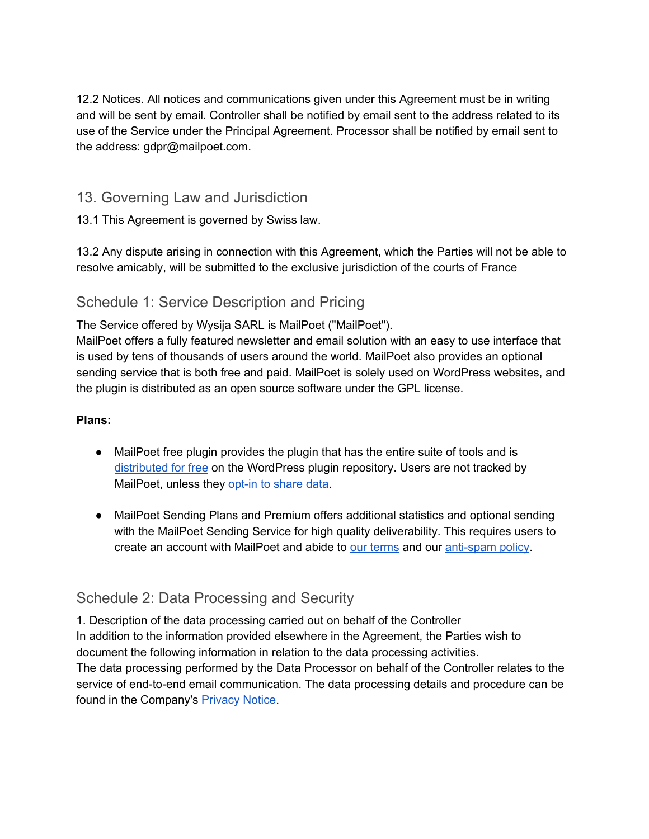12.2 Notices. All notices and communications given under this Agreement must be in writing and will be sent by email. Controller shall be notified by email sent to the address related to its use of the Service under the Principal Agreement. Processor shall be notified by email sent to the address: gdpr@mailpoet.com.

#### 13. Governing Law and Jurisdiction

13.1 This Agreement is governed by Swiss law.

13.2 Any dispute arising in connection with this Agreement, which the Parties will not be able to resolve amicably, will be submitted to the exclusive jurisdiction of the courts of France

## Schedule 1: Service Description and Pricing

The Service offered by Wysija SARL is MailPoet ("MailPoet").

MailPoet offers a fully featured newsletter and email solution with an easy to use interface that is used by tens of thousands of users around the world. MailPoet also provides an optional sending service that is both free and paid. MailPoet is solely used on WordPress websites, and the plugin is distributed as an open source software under the GPL license.

#### **Plans:**

- MailPoet free plugin provides the plugin that has the entire suite of tools and is [distributed](https://wordpress.org/plugins/mailpoet/) for free on the WordPress plugin repository. Users are not tracked by MailPoet, unless they [opt-in](https://kb.mailpoet.com/article/130-sharing-your-data-with-us) to share data.
- MailPoet Sending Plans and Premium offers additional statistics and optional sending with the MailPoet Sending Service for high quality deliverability. This requires users to create an account with MailPoet and abide to our [terms](https://www.mailpoet.com/terms-and-conditions/) and our [anti-spam](https://www.mailpoet.com/anti-spam-policy/) policy.

## Schedule 2: Data Processing and Security

1. Description of the data processing carried out on behalf of the Controller In addition to the information provided elsewhere in the Agreement, the Parties wish to document the following information in relation to the data processing activities. The data processing performed by the Data Processor on behalf of the Controller relates to the service of end-to-end email communication. The data processing details and procedure can be

found in the Company's [Privacy](https://www.mailpoet.com/privacy-notice/) Notice.